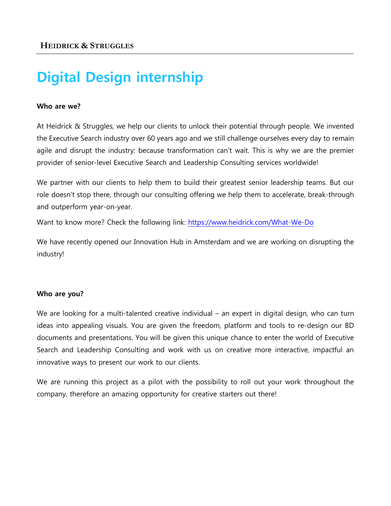# **Digital Design internship**

#### **Who are we?**

At Heidrick & Struggles, we help our clients to unlock their potential through people. We invented the Executive Search industry over 60 years ago and we still challenge ourselves every day to remain agile and disrupt the industry: because transformation can't wait. This is why we are the premier provider of senior-level Executive Search and Leadership Consulting services worldwide!

We partner with our clients to help them to build their greatest senior leadership teams. But our role doesn't stop there, through our consulting offering we help them to accelerate, break-through and outperform year-on-year.

Want to know more? Check the following link: <https://www.heidrick.com/What-We-Do>

We have recently opened our Innovation Hub in Amsterdam and we are working on disrupting the industry!

#### **Who are you?**

We are looking for a multi-talented creative individual – an expert in digital design, who can turn ideas into appealing visuals. You are given the freedom, platform and tools to re-design our BD documents and presentations. You will be given this unique chance to enter the world of Executive Search and Leadership Consulting and work with us on creative more interactive, impactful an innovative ways to present our work to our clients.

We are running this project as a pilot with the possibility to roll out your work throughout the company, therefore an amazing opportunity for creative starters out there!